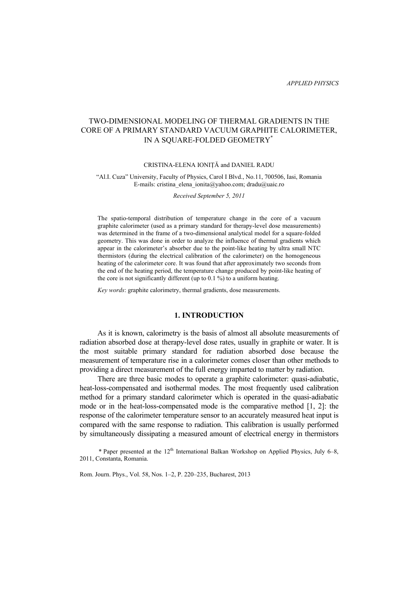# TWO-DIMENSIONAL MODELING OF THERMAL GRADIENTS IN THE CORE OF A PRIMARY STANDARD VACUUM GRAPHITE CALORIMETER, IN A SQUARE-FOLDED GEOMETRY\*

## CRISTINA-ELENA IONIŢĂ and DANIEL RADU

#### "Al.I. Cuza" University, Faculty of Physics, Carol I Blvd., No.11, 700506, Iasi, Romania E-mails: cristina\_elena\_ionita@yahoo.com; dradu@uaic.ro

*Received September 5, 2011* 

The spatio-temporal distribution of temperature change in the core of a vacuum graphite calorimeter (used as a primary standard for therapy-level dose measurements) was determined in the frame of a two-dimensional analytical model for a square-folded geometry. This was done in order to analyze the influence of thermal gradients which appear in the calorimeter's absorber due to the point-like heating by ultra small NTC thermistors (during the electrical calibration of the calorimeter) on the homogeneous heating of the calorimeter core. It was found that after approximately two seconds from the end of the heating period, the temperature change produced by point-like heating of the core is not significantly different (up to 0.1 %) to a uniform heating.

*Key words*: graphite calorimetry, thermal gradients, dose measurements.

## **1. INTRODUCTION**

 As it is known, calorimetry is the basis of almost all absolute measurements of radiation absorbed dose at therapy-level dose rates, usually in graphite or water. It is the most suitable primary standard for radiation absorbed dose because the measurement of temperature rise in a calorimeter comes closer than other methods to providing a direct measurement of the full energy imparted to matter by radiation.

 There are three basic modes to operate a graphite calorimeter: quasi-adiabatic, heat-loss-compensated and isothermal modes. The most frequently used calibration method for a primary standard calorimeter which is operated in the quasi-adiabatic mode or in the heat-loss-compensated mode is the comparative method [1, 2]: the response of the calorimeter temperature sensor to an accurately measured heat input is compared with the same response to radiation. This calibration is usually performed by simultaneously dissipating a measured amount of electrical energy in thermistors

\* Paper presented at the  $12<sup>th</sup>$  International Balkan Workshop on Applied Physics, July 6–8, 2011, Constanta, Romania.

Rom. Journ. Phys., Vol. 58, Nos. 1–2, P. 220–235, Bucharest, 2013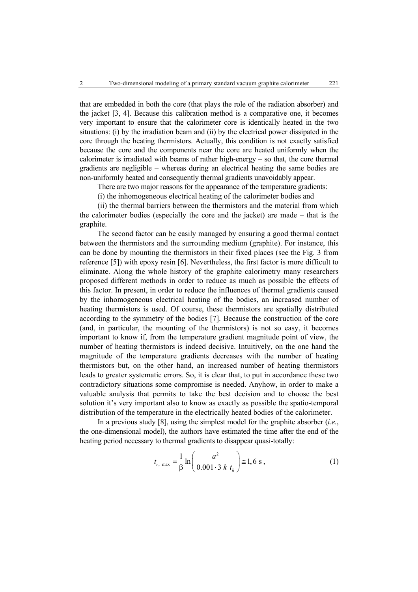that are embedded in both the core (that plays the role of the radiation absorber) and the jacket [3, 4]. Because this calibration method is a comparative one, it becomes very important to ensure that the calorimeter core is identically heated in the two situations: (i) by the irradiation beam and (ii) by the electrical power dissipated in the core through the heating thermistors. Actually, this condition is not exactly satisfied because the core and the components near the core are heated uniformly when the calorimeter is irradiated with beams of rather high-energy – so that, the core thermal gradients are negligible – whereas during an electrical heating the same bodies are non-uniformly heated and consequently thermal gradients unavoidably appear.

There are two major reasons for the appearance of the temperature gradients:

(i) the inhomogeneous electrical heating of the calorimeter bodies and

 (ii) the thermal barriers between the thermistors and the material from which the calorimeter bodies (especially the core and the jacket) are made – that is the graphite.

 The second factor can be easily managed by ensuring a good thermal contact between the thermistors and the surrounding medium (graphite). For instance, this can be done by mounting the thermistors in their fixed places (see the Fig. 3 from reference [5]) with epoxy resin [6]. Nevertheless, the first factor is more difficult to eliminate. Along the whole history of the graphite calorimetry many researchers proposed different methods in order to reduce as much as possible the effects of this factor. In present, in order to reduce the influences of thermal gradients caused by the inhomogeneous electrical heating of the bodies, an increased number of heating thermistors is used. Of course, these thermistors are spatially distributed according to the symmetry of the bodies [7]. Because the construction of the core (and, in particular, the mounting of the thermistors) is not so easy, it becomes important to know if, from the temperature gradient magnitude point of view, the number of heating thermistors is indeed decisive. Intuitively, on the one hand the magnitude of the temperature gradients decreases with the number of heating thermistors but, on the other hand, an increased number of heating thermistors leads to greater systematic errors. So, it is clear that, to put in accordance these two contradictory situations some compromise is needed. Anyhow, in order to make a valuable analysis that permits to take the best decision and to choose the best solution it's very important also to know as exactly as possible the spatio-temporal distribution of the temperature in the electrically heated bodies of the calorimeter.

 In a previous study [8], using the simplest model for the graphite absorber (*i.e.*, the one-dimensional model), the authors have estimated the time after the end of the heating period necessary to thermal gradients to disappear quasi-totally:

$$
t_{r, \text{max}} = \frac{1}{\beta} \ln \left( \frac{a^2}{0.001 \cdot 3 \cdot k \cdot t_h} \right) \approx 1, 6 \text{ s}, \qquad (1)
$$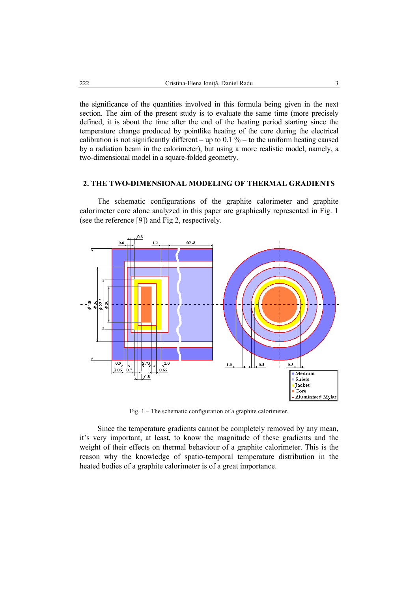the significance of the quantities involved in this formula being given in the next section. The aim of the present study is to evaluate the same time (more precisely defined, it is about the time after the end of the heating period starting since the temperature change produced by pointlike heating of the core during the electrical calibration is not significantly different – up to  $0.1\%$  – to the uniform heating caused by a radiation beam in the calorimeter), but using a more realistic model, namely, a two-dimensional model in a square-folded geometry.

## **2. THE TWO-DIMENSIONAL MODELING OF THERMAL GRADIENTS**

 The schematic configurations of the graphite calorimeter and graphite calorimeter core alone analyzed in this paper are graphically represented in Fig. 1 (see the reference [9]) and Fig 2, respectively.



Fig. 1 – The schematic configuration of a graphite calorimeter.

 Since the temperature gradients cannot be completely removed by any mean, it's very important, at least, to know the magnitude of these gradients and the weight of their effects on thermal behaviour of a graphite calorimeter. This is the reason why the knowledge of spatio-temporal temperature distribution in the heated bodies of a graphite calorimeter is of a great importance.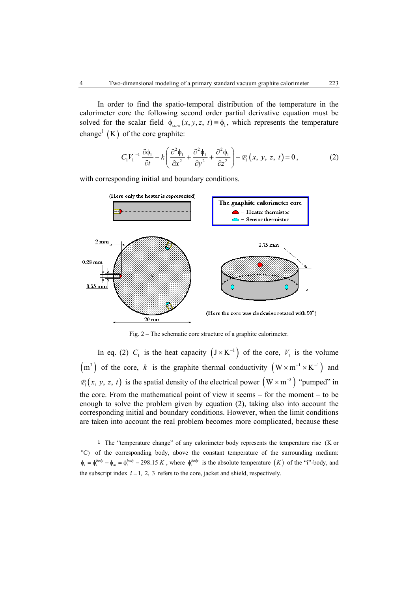In order to find the spatio-temporal distribution of the temperature in the calorimeter core the following second order partial derivative equation must be solved for the scalar field  $\phi_{core}(x, y, z, t) = \phi_1$ , which represents the temperature change<sup>1</sup> (K) of the core graphite:

$$
C_1 V_1^{-1} \frac{\partial \phi_1}{\partial t} - k \left( \frac{\partial^2 \phi_1}{\partial x^2} + \frac{\partial^2 \phi_1}{\partial y^2} + \frac{\partial^2 \phi_1}{\partial z^2} \right) - \mathcal{P}_1(x, y, z, t) = 0, \tag{2}
$$

with corresponding initial and boundary conditions.



Fig. 2 – The schematic core structure of a graphite calorimeter.

In eq. (2)  $C_1$  is the heat capacity  $(J \times K^{-1})$  of the core,  $V_1$  is the volume  $(m<sup>3</sup>)$  of the core, *k* is the graphite thermal conductivity  $(W \times m^{-1} \times K^{-1})$  and  $P_1(x, y, z, t)$  is the spatial density of the electrical power  $(W \times m^{-3})$  "pumped" in the core. From the mathematical point of view it seems – for the moment – to be enough to solve the problem given by equation (2), taking also into account the corresponding initial and boundary conditions. However, when the limit conditions are taken into account the real problem becomes more complicated, because these

<sup>1</sup> The "temperature change" of any calorimeter body represents the temperature rise (K or <sup>o</sup>C) of the corresponding body, above the constant temperature of the surrounding medium:  $\phi_i = \phi_i^{body} - \phi_m = \phi_i^{body} - 298.15 K$ , where  $\phi_i^{body}$  is the absolute temperature  $(K)$  of the "i"-body, and the subscript index  $i = 1, 2, 3$  refers to the core, jacket and shield, respectively.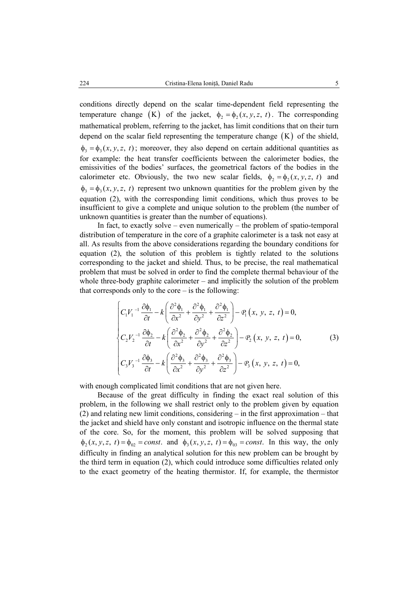conditions directly depend on the scalar time-dependent field representing the temperature change (K) of the jacket,  $\phi_2 = \phi_2(x, y, z, t)$ . The corresponding mathematical problem, referring to the jacket, has limit conditions that on their turn depend on the scalar field representing the temperature change  $(K)$  of the shield,  $\phi_3 = \phi_3(x, y, z, t)$ ; moreover, they also depend on certain additional quantities as for example: the heat transfer coefficients between the calorimeter bodies, the emissivities of the bodies' surfaces, the geometrical factors of the bodies in the calorimeter etc. Obviously, the two new scalar fields,  $\phi_2 = \phi_2(x, y, z, t)$  and  $\phi_3 = \phi_3(x, y, z, t)$  represent two unknown quantities for the problem given by the equation (2), with the corresponding limit conditions, which thus proves to be insufficient to give a complete and unique solution to the problem (the number of unknown quantities is greater than the number of equations).

In fact, to exactly solve – even numerically – the problem of spatio-temporal distribution of temperature in the core of a graphite calorimeter is a task not easy at all. As results from the above considerations regarding the boundary conditions for equation (2), the solution of this problem is tightly related to the solutions corresponding to the jacket and shield. Thus, to be precise, the real mathematical problem that must be solved in order to find the complete thermal behaviour of the whole three-body graphite calorimeter – and implicitly the solution of the problem that corresponds only to the core  $-$  is the following:

$$
\begin{cases}\nC_1 V_1^{-1} \frac{\partial \phi_1}{\partial t} - k \left( \frac{\partial^2 \phi_1}{\partial x^2} + \frac{\partial^2 \phi_1}{\partial y^2} + \frac{\partial^2 \phi_1}{\partial z^2} \right) - \varrho_1 (x, y, z, t) = 0, \\
C_2 V_2^{-1} \frac{\partial \phi_2}{\partial t} - k \left( \frac{\partial^2 \phi_2}{\partial x^2} + \frac{\partial^2 \phi_2}{\partial y^2} + \frac{\partial^2 \phi_2}{\partial z^2} \right) - \varrho_2 (x, y, z, t) = 0, \\
C_3 V_3^{-1} \frac{\partial \phi_3}{\partial t} - k \left( \frac{\partial^2 \phi_3}{\partial x^2} + \frac{\partial^2 \phi_3}{\partial y^2} + \frac{\partial^2 \phi_3}{\partial z^2} \right) - \varrho_3 (x, y, z, t) = 0,\n\end{cases}
$$
\n(3)

with enough complicated limit conditions that are not given here.

 Because of the great difficulty in finding the exact real solution of this problem, in the following we shall restrict only to the problem given by equation (2) and relating new limit conditions, considering – in the first approximation – that the jacket and shield have only constant and isotropic influence on the thermal state of the core. So, for the moment, this problem will be solved supposing that  $\phi_2(x, y, z, t) = \phi_{02} = const.$  and  $\phi_3(x, y, z, t) = \phi_{03} = const.$  In this way, the only difficulty in finding an analytical solution for this new problem can be brought by the third term in equation (2), which could introduce some difficulties related only to the exact geometry of the heating thermistor. If, for example, the thermistor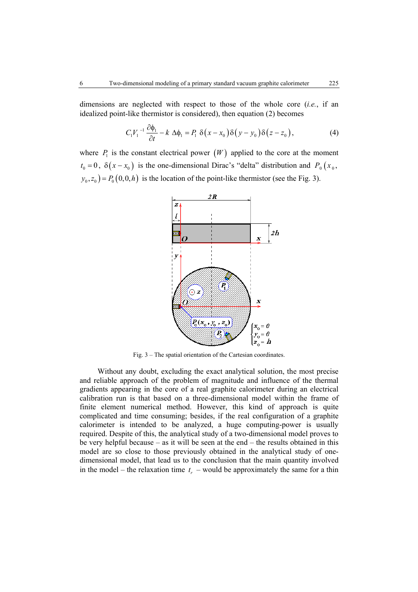dimensions are neglected with respect to those of the whole core (*i.e.*, if an idealized point-like thermistor is considered), then equation (2) becomes

$$
C_1 V_1^{-1} \frac{\partial \phi_1}{\partial t} - k \Delta \phi_1 = P_1 \delta(x - x_0) \delta(y - y_0) \delta(z - z_0), \tag{4}
$$

where  $P_1$  is the constant electrical power  $(W)$  applied to the core at the moment  $t_0 = 0$ ,  $\delta(x - x_0)$  is the one-dimensional Dirac's "delta" distribution and  $P_0(x_0,$  $y_0, z_0$ ) =  $P_0(0, 0, h)$  is the location of the point-like thermistor (see the Fig. 3).



Fig. 3 – The spatial orientation of the Cartesian coordinates.

 Without any doubt, excluding the exact analytical solution, the most precise and reliable approach of the problem of magnitude and influence of the thermal gradients appearing in the core of a real graphite calorimeter during an electrical calibration run is that based on a three-dimensional model within the frame of finite element numerical method. However, this kind of approach is quite complicated and time consuming; besides, if the real configuration of a graphite calorimeter is intended to be analyzed, a huge computing-power is usually required. Despite of this, the analytical study of a two-dimensional model proves to be very helpful because – as it will be seen at the end – the results obtained in this model are so close to those previously obtained in the analytical study of onedimensional model, that lead us to the conclusion that the main quantity involved in the model – the relaxation time  $t_r$  – would be approximately the same for a thin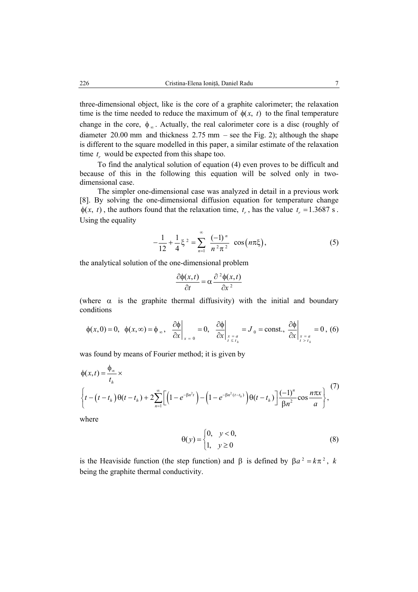three-dimensional object, like is the core of a graphite calorimeter; the relaxation time is the time needed to reduce the maximum of  $\phi(x, t)$  to the final temperature change in the core,  $\phi_{\infty}$ . Actually, the real calorimeter core is a disc (roughly of diameter 20.00 mm and thickness  $2.75$  mm – see the Fig. 2); although the shape is different to the square modelled in this paper, a similar estimate of the relaxation time  $t_r$  would be expected from this shape too.

 To find the analytical solution of equation (4) even proves to be difficult and because of this in the following this equation will be solved only in twodimensional case.

 The simpler one-dimensional case was analyzed in detail in a previous work [8]. By solving the one-dimensional diffusion equation for temperature change  $\phi(x, t)$ , the authors found that the relaxation time,  $t_r$ , has the value  $t_r = 1.3687$  s. Using the equality

$$
-\frac{1}{12} + \frac{1}{4}\xi^2 = \sum_{n=1}^{\infty} \frac{(-1)^n}{n^2 \pi^2} \cos\left(n\pi\xi\right),\tag{5}
$$

the analytical solution of the one-dimensional problem

$$
\frac{\partial \phi(x,t)}{\partial t} = \alpha \frac{\partial^2 \phi(x,t)}{\partial x^2}
$$

(where  $\alpha$  is the graphite thermal diffusivity) with the initial and boundary conditions

$$
\phi(x,0)=0, \quad \phi(x,\infty)=\phi_{\infty}, \quad \frac{\partial \phi}{\partial x}\bigg|_{x=0}=0, \quad \frac{\partial \phi}{\partial x}\bigg|_{\substack{x=a\\t\leq t_h}}=J_0=\text{const.}, \quad \frac{\partial \phi}{\partial x}\bigg|_{\substack{x=a\\t>t_h}}=0, \quad (6)
$$

was found by means of Fourier method; it is given by

$$
\phi(x,t) = \frac{\phi_{\infty}}{t_h} \times \left\{ t - \left(t - t_h \right) \theta(t - t_h) + 2 \sum_{n=1}^{\infty} \left[ \left( 1 - e^{-\beta n^2 t} \right) - \left( 1 - e^{-\beta n^2 (t - t_h)} \right) \theta(t - t_h) \right] \frac{(-1)^n}{\beta n^2} \cos \frac{n \pi x}{a} \right\},
$$
\n(7)

where

$$
\Theta(y) = \begin{cases} 0, & y < 0, \\ 1, & y \ge 0 \end{cases} \tag{8}
$$

is the Heaviside function (the step function) and  $\beta$  is defined by  $\beta a^2 = k\pi^2$ , *k* being the graphite thermal conductivity.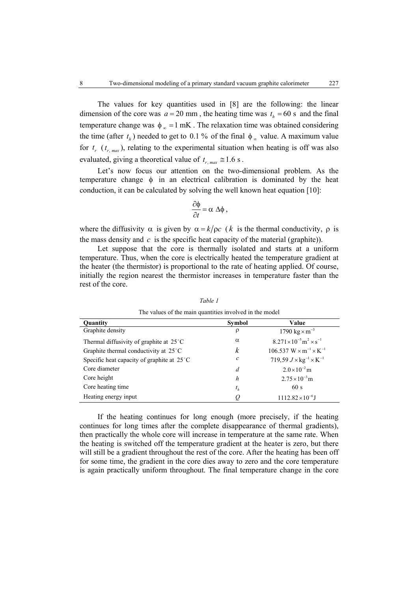The values for key quantities used in [8] are the following: the linear dimension of the core was  $a = 20$  mm, the heating time was  $t<sub>h</sub> = 60$  s and the final temperature change was  $\phi_{\infty} = 1$  mK . The relaxation time was obtained considering the time (after  $t_h$ ) needed to get to 0.1 % of the final  $\phi_\infty$  value. A maximum value for  $t_r$  ( $t_{r, max}$ ), relating to the experimental situation when heating is off was also evaluated, giving a theoretical value of  $t_{r \, max} \approx 1.6 \, \text{s}$ .

 Let's now focus our attention on the two-dimensional problem. As the temperature change  $\phi$  in an electrical calibration is dominated by the heat conduction, it can be calculated by solving the well known heat equation [10]:

$$
\frac{\partial \phi}{\partial t} = \alpha \Delta \phi ,
$$

where the diffusivity  $\alpha$  is given by  $\alpha = k/\rho c$  (*k* is the thermal conductivity,  $\rho$  is the mass density and  $c$  is the specific heat capacity of the material (graphite)).

 Let suppose that the core is thermally isolated and starts at a uniform temperature. Thus, when the core is electrically heated the temperature gradient at the heater (the thermistor) is proportional to the rate of heating applied. Of course, initially the region nearest the thermistor increases in temperature faster than the rest of the core.

| The values of the main quantities involved in the model |                  |                                                                |
|---------------------------------------------------------|------------------|----------------------------------------------------------------|
| Quantity                                                | Symbol           | Value                                                          |
| Graphite density                                        | ρ                | 1790 $\text{kg} \times \text{m}^{-3}$                          |
| Thermal diffusivity of graphite at $25^{\circ}$ C       | $\alpha$         | $8.271 \times 10^{-5}$ m <sup>2</sup> $\times$ s <sup>-1</sup> |
| Graphite thermal conductivity at 25°C                   | $\boldsymbol{k}$ | $106.537 W \times m^{-1} \times K^{-1}$                        |
| Specific heat capacity of graphite at $25^{\circ}$ C    | с                | 719,59 $J \times \text{kg}^{-1} \times \text{K}^{-1}$          |
| Core diameter                                           | d                | $2.0 \times 10^{-2}$ m                                         |
| Core height                                             | h                | $2.75 \times 10^{-3}$ m                                        |
| Core heating time.                                      | $t_h$            | 60s                                                            |
| Heating energy input                                    | Q                | $1112.82\times10^{-6}$ J                                       |

*Table 1* The values of the main quantities involved in the model

 If the heating continues for long enough (more precisely, if the heating continues for long times after the complete disappearance of thermal gradients), then practically the whole core will increase in temperature at the same rate. When the heating is switched off the temperature gradient at the heater is zero, but there will still be a gradient throughout the rest of the core. After the heating has been off for some time, the gradient in the core dies away to zero and the core temperature is again practically uniform throughout. The final temperature change in the core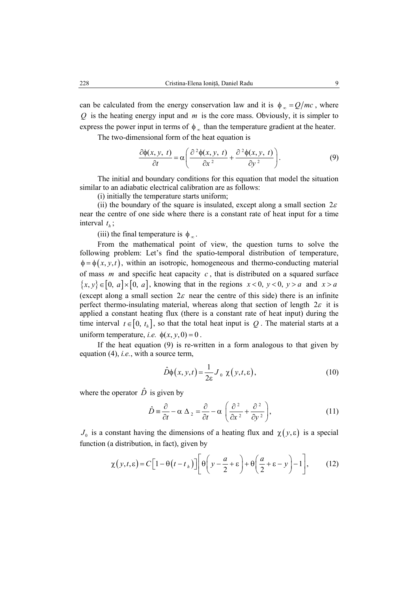can be calculated from the energy conservation law and it is  $\phi_{\infty} = Q/mc$ , where *Q* is the heating energy input and *m* is the core mass. Obviously, it is simpler to express the power input in terms of  $\phi_{\infty}$  than the temperature gradient at the heater.

The two-dimensional form of the heat equation is

$$
\frac{\partial \phi(x, y, t)}{\partial t} = \alpha \left( \frac{\partial^2 \phi(x, y, t)}{\partial x^2} + \frac{\partial^2 \phi(x, y, t)}{\partial y^2} \right). \tag{9}
$$

 The initial and boundary conditions for this equation that model the situation similar to an adiabatic electrical calibration are as follows:

(i) initially the temperature starts uniform;

(ii) the boundary of the square is insulated, except along a small section  $2\varepsilon$ near the centre of one side where there is a constant rate of heat input for a time interval  $t_{h}$ ;

(iii) the final temperature is  $\phi_{\infty}$ .

 From the mathematical point of view, the question turns to solve the following problem: Let's find the spatio-temporal distribution of temperature,  $\phi = \phi(x, y, t)$ , within an isotropic, homogeneous and thermo-conducting material of mass *m* and specific heat capacity *c* , that is distributed on a squared surface  ${x, y} \in [0, a] \times [0, a]$ , knowing that in the regions  $x < 0$ ,  $y < 0$ ,  $y > a$  and  $x > a$ (except along a small section  $2\varepsilon$  near the centre of this side) there is an infinite perfect thermo-insulating material, whereas along that section of length  $2\varepsilon$  it is applied a constant heating flux (there is a constant rate of heat input) during the time interval  $t \in [0, t_h]$ , so that the total heat input is Q. The material starts at a uniform temperature, *i.e.*  $\phi(x, y, 0) = 0$ .

 If the heat equation (9) is re-written in a form analogous to that given by equation (4), *i.e.*, with a source term,

$$
\hat{D}\phi(x, y, t) = \frac{1}{2\varepsilon} J_0 \chi(y, t, \varepsilon), \qquad (10)
$$

where the operator  $\hat{D}$  is given by

$$
\hat{D} = \frac{\partial}{\partial t} - \alpha \Delta_2 = \frac{\partial}{\partial t} - \alpha \left( \frac{\partial^2}{\partial x^2} + \frac{\partial^2}{\partial y^2} \right),\tag{11}
$$

 $J_0$  is a constant having the dimensions of a heating flux and  $\chi(y, \varepsilon)$  is a special function (a distribution, in fact), given by

$$
\chi(y,t,\varepsilon) = C\Big[1 - \theta\big(t - t_h\big)\Big]\Bigg[\theta\Bigg(y - \frac{a}{2} + \varepsilon\Bigg) + \theta\Bigg(\frac{a}{2} + \varepsilon - y\Bigg) - 1\Bigg],\tag{12}
$$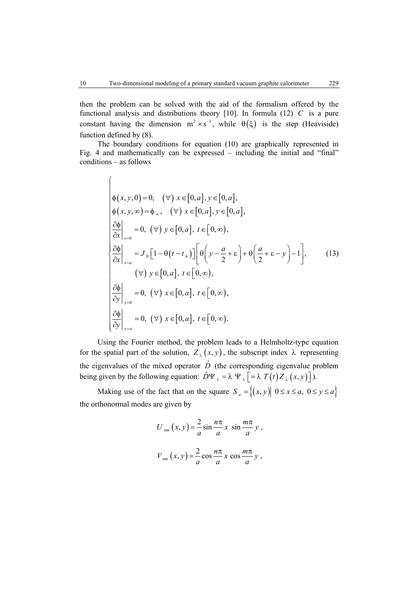then the problem can be solved with the aid of the formalism offered by the functional analysis and distributions theory [10]. In formula (12) *C* is a pure constant having the dimension  $m^2 \times s^{-1}$ , while  $\theta(\xi)$  is the step (Heaviside) function defined by (8).

 The boundary conditions for equation (10) are graphically represented in Fig. 4 and mathematically can be expressed – including the initial and "final" conditions – as follows

$$
\begin{cases}\n\phi(x, y, 0) = 0, & (\forall) \ x \in [0, a], y \in [0, a], \\
\phi(x, y, \infty) = \phi_{\infty}, & (\forall) \ x \in [0, a], y \in [0, a], \\
\frac{\partial \phi}{\partial x}\Big|_{x=0} = 0, & (\forall) \ y \in [0, a], t \in [0, \infty), \\
\frac{\partial \phi}{\partial x}\Big|_{x=a} = J_0 \Big[1 - \theta(t - t_h)\Big] \Big[ \theta \Big( y - \frac{a}{2} + \varepsilon \Big) + \theta \Big( \frac{a}{2} + \varepsilon - y \Big) - 1 \Big],\n\end{cases} (13)
$$
\n
$$
\begin{cases}\n\frac{\partial \phi}{\partial y}\Big|_{y=0} = 0, & (\forall) \ x \in [0, a], t \in [0, \infty), \\
\frac{\partial \phi}{\partial y}\Big|_{y=a} = 0, & (\forall) \ x \in [0, a], t \in [0, \infty).\n\end{cases}
$$

 Using the Fourier method, the problem leads to a Helmholtz-type equation for the spatial part of the solution,  $Z_{\lambda}(x, y)$ , the subscript index  $\lambda$  representing the eigenvalues of the mixed operator  $\hat{D}$  (the corresponding eigenvalue problem being given by the following equation:  $\hat{D}\Psi_{\lambda} = \lambda \Psi_{\lambda} \left[ = \lambda T(t) Z_{\lambda}(x, y) \right]$ ).

Making use of the fact that on the square  $S_a = \{(x, y) | 0 \le x \le a, 0 \le y \le a\}$ the orthonormal modes are given by

$$
U_{nm}(x, y) = \frac{2}{a} \sin \frac{n\pi}{a} x \sin \frac{m\pi}{a} y,
$$
  

$$
V_{nm}(x, y) = \frac{2}{a} \cos \frac{n\pi}{a} x \cos \frac{m\pi}{a} y,
$$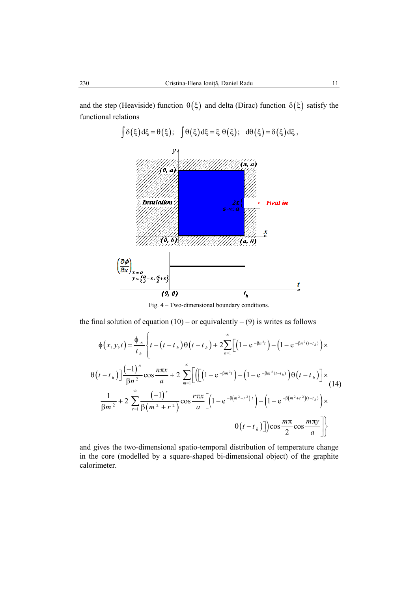

Fig. 4 – Two-dimensional boundary conditions.

the final solution of equation  $(10)$  – or equivalently – (9) is writes as follows

$$
\phi(x, y, t) = \frac{\phi_{\infty}}{t_{h}} \left\{ t - (t - t_{h}) \theta(t - t_{h}) + 2 \sum_{n=1}^{\infty} \left[ \left( 1 - e^{-\beta n^{2}t} \right) - \left( 1 - e^{-\beta n^{2}(t - t_{h})} \right) \times \theta(t - t_{h}) \right] \right\}
$$
  

$$
\theta(t - t_{h}) \left[ \frac{(-1)^{n}}{\beta n^{2}} \cos \frac{n \pi x}{a} + 2 \sum_{m=1}^{\infty} \left[ \left( \left[ \left( 1 - e^{-\beta m^{2}t} \right) - \left( 1 - e^{-\beta m^{2}(t - t_{h})} \right) \theta(t - t_{h}) \right] \times \theta(t - t_{h}) \right] \right] \times \theta(t - t_{h}) \right] \times
$$
  

$$
\frac{1}{\beta m^{2}} + 2 \sum_{r=1}^{\infty} \frac{(-1)^{r}}{\beta (m^{2} + r^{2})} \cos \frac{r \pi x}{a} \left[ \left( 1 - e^{-\beta (m^{2} + r^{2})t} \right) - \left( 1 - e^{-\beta (m^{2} + r^{2})(t - t_{h})} \right) \times \theta(t - t_{h}) \right] \right) \cos \frac{m \pi}{2} \cos \frac{m \pi y}{a} \right] \}
$$

and gives the two-dimensional spatio-temporal distribution of temperature change in the core (modelled by a square-shaped bi-dimensional object) of the graphite calorimeter.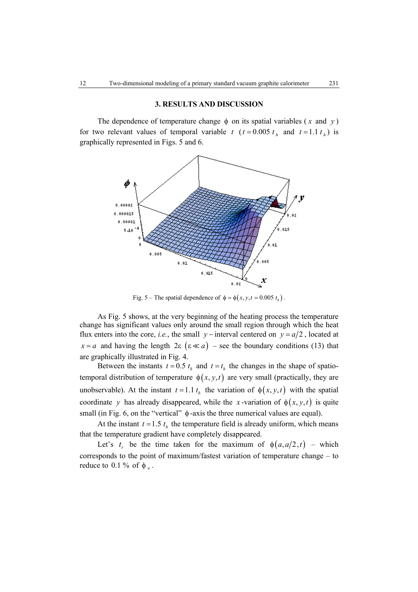# **3. RESULTS AND DISCUSSION**

The dependence of temperature change  $\phi$  on its spatial variables (*x* and *y*) for two relevant values of temporal variable  $t$  ( $t = 0.005 t_h$  and  $t = 1.1 t_h$ ) is graphically represented in Figs. 5 and 6.



Fig. 5 – The spatial dependence of  $\phi = \phi(x, y, t = 0.005 t_h)$ .

 As Fig. 5 shows, at the very beginning of the heating process the temperature change has significant values only around the small region through which the heat flux enters into the core, *i.e.*, the small *y* − interval centered on  $y = a/2$ , located at  $x = a$  and having the length  $2\varepsilon$  ( $\varepsilon \ll a$ ) – see the boundary conditions (13) that are graphically illustrated in Fig. 4.

Between the instants  $t = 0.5 t_h$  and  $t = t_h$  the changes in the shape of spatiotemporal distribution of temperature  $\phi(x, y, t)$  are very small (practically, they are unobservable). At the instant  $t = 1.1 t<sub>h</sub>$  the variation of  $\phi(x, y, t)$  with the spatial coordinate *y* has already disappeared, while the *x*-variation of  $\phi(x, y, t)$  is quite small (in Fig. 6, on the "vertical"  $\phi$ -axis the three numerical values are equal).

At the instant  $t = 1.5 t<sub>h</sub>$  the temperature field is already uniform, which means that the temperature gradient have completely disappeared.

Let's  $t_r$  be the time taken for the maximum of  $\phi(a, a/2, t)$  – which corresponds to the point of maximum/fastest variation of temperature change – to reduce to 0.1 % of  $\phi_{\infty}$ .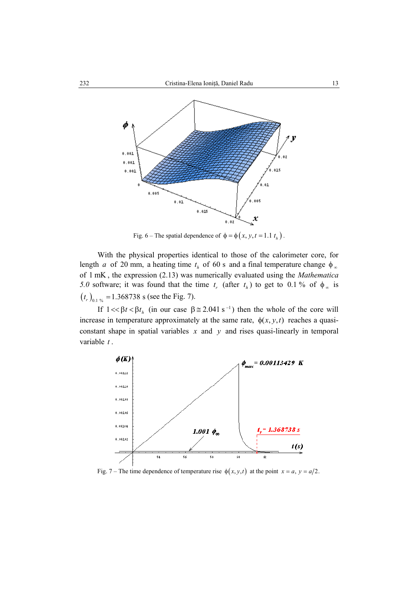

Fig. 6 – The spatial dependence of  $\phi = \phi(x, y, t = 1.1 t_h)$ .

 With the physical properties identical to those of the calorimeter core, for length *a* of 20 mm, a heating time  $t<sub>h</sub>$  of 60 s and a final temperature change  $\phi<sub>\infty</sub>$ of 1 mK , the expression (2.13) was numerically evaluated using the *Mathematica 5.0* software; it was found that the time  $t_r$  (after  $t_h$ ) to get to 0.1 % of  $\phi_\infty$  is  $(t_r)_{0.1\%} = 1.368738$  s (see the Fig. 7).

If  $1 \ll \beta t \ll \beta t_h$  (in our case  $\beta \approx 2.041 \text{ s}^{-1}$ ) then the whole of the core will increase in temperature approximately at the same rate,  $\phi(x, y, t)$  reaches a quasiconstant shape in spatial variables  $x$  and  $y$  and rises quasi-linearly in temporal variable *t* .



Fig. 7 – The time dependence of temperature rise  $\phi(x, y, t)$  at the point  $x = a, y = a/2$ .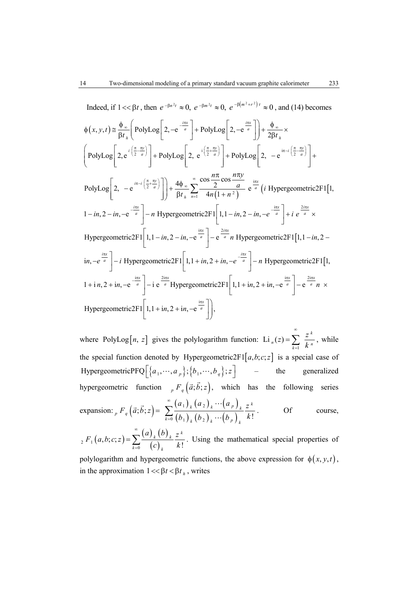Indeed, if  $1 \ll \beta t$ , then  $e^{-\beta n^2 t} \approx 0$ ,  $e^{-\beta m^2 t} \approx 0$ ,  $e^{-\beta (m^2 + r^2) t} \approx 0$ , and (14) becomes

$$
\Phi(x, y, t) \approx \frac{\Phi_{\infty}}{\beta t_{h}} \left( \text{PolyLog}\left[ 2, -e^{-\frac{i\pi x}{a}} \right] + \text{PolyLog}\left[ 2, -e^{\frac{i\pi x}{a}} \right] \right) + \frac{\Phi_{\infty}}{2\beta t_{h}} \times
$$
\n
$$
\left( \text{PolyLog}\left[ 2, e^{i\left(\frac{\pi}{2} - \frac{\pi y}{a}\right)} \right] + \text{PolyLog}\left[ 2, e^{i\left(\frac{\pi}{2} + \frac{\pi y}{a}\right)} \right] + \text{PolyLog}\left[ 2, -e^{-\frac{i\pi - i}{a}} \right] + \text{PolyLog}\left[ 2, -e^{-\frac{i\pi - i}{a}} \right] \right) + \frac{4\Phi_{\infty}}{\beta t_{h}} \sum_{n=1}^{\infty} \frac{\cos \frac{n\pi y}{2} \cos \frac{n\pi y}{a}}{4n(1 + n^{2})} e^{\frac{i\pi x}{a}} \left( i \text{ Hypergeometric2F1}[1, 1-in, 2-in, -e^{-\frac{i\pi x}{a}} \right] - n \text{ Hypergeometric2F1}[1, 1-in, 2-in, -e^{-\frac{i\pi x}{a}} \right) + i e^{\frac{2i\pi x}{a}} \times
$$
\n
$$
\text{Hypergeometric2F1}\left[ 1, 1-in, 2-in, -e^{-\frac{i\pi x}{a}} \right] - e^{\frac{2i\pi x}{a}} n \text{ Hypergeometric2F1}[1, 1-in, 2-in, -e^{-\frac{i\pi x}{a}} \right] - i \text{ Hypergeometric2F1}[1, 1-in, 2-in, -e^{-\frac{i\pi x}{a}} \right] - i \text{ hypergeometric2F1}[1, 1-in, 2-in, -e^{-\frac{i\pi x}{a}} \right] - i e^{\frac{2i\pi x}{a}} \text{ Hypergeometric2F1}[1, 1-in, 2-in, -e^{-\frac{i\pi x}{a}} \right] - e^{\frac{2i\pi x}{a}} n \times
$$
\n
$$
\text{Hypergeometric2F1}\left[ 1, 1 + in, 2 + in, -e^{-\frac{i\pi x}{a}} \right],
$$

where PolyLog[*n*, *z*] gives the polylogarithm function: Li<sub>n</sub>(*z*) =  $\sum_{k=1}^{\infty} \frac{z^k}{k^n}$  $n^{(2)} = \sum_{k=1}^{\infty} k^{n}$  $(z) = \sum \frac{z}{z}$ *k* ∞  $=\sum_{k=1}^{\infty}\frac{z^{n}}{k^{n}}$ , while the special function denoted by Hypergeometric2F1 $[a,b;c;z]$  is a special case of HypergeometricPFQ  $\left[\left\{a_1, \dots, a_p\right\}; \left\{b_1, \dots, b_q\right\}; z\right]$  – the generalized hypergeometric function  $p F_q(\vec{a}; \vec{b}; z)$ , which has the following series expansion:  ${}_{p}F_{q}(\vec{a}; \vec{b}; z) = \sum_{k=1}^{\infty} \frac{(a_{1})_{k}(a_{2})_{k} \cdots (a_{p})}{(b_{1})_{k} (b_{2})_{k} (c_{1})_{k} (c_{2})_{k}}$  $(b_{_{1}})_{_{k}}(b_{_{2}})_{_{k}}\cdots (b_{_{p}})$  $1$   $\frac{1}{k}$   $($   $\frac{u}{2}$  $\left(\begin{smallmatrix} 0 & 0 \ 0 & 1 \end{smallmatrix}\right)_k \left(\begin{smallmatrix} b & 0 \ 0 & 2 \end{smallmatrix}\right)_k \cdots \left(\begin{smallmatrix} b & 0 \ 0 & p \end{smallmatrix}\right)_k \quad k!$  $\binom{k}{k}$   $\binom{a_2}{k}$   $\cdots$   $\binom{a_p}{k}$   $\binom{n}{k}$  $k=0$   $(\mathcal{D}_1)$   $_k(\mathcal{D}_2)$   $_k$   $\cdots$   $(\mathcal{D}_p)$   $_k$  $a_{1}$ )<sub>k</sub>  $(a_{2})$ <sub>k</sub>  $\cdots$  $(a_{p})$ <sub>k</sub> z  $(b_1)$   $(b_2)$   $\cdots$  $(b_n)$   $k$ ∞  $\sum_{k=0}^{\infty} \frac{(a_1)_k (a_2)_k \cdots (a_p)_k}{(b_1)_k (b_2)_k \cdots (b_n)_k k!}$ . Of course, ∞

 $(a, b; c; z) = \sum_{k=0}^{\infty} \frac{(a)_k (b)}{(b)}$  $_{2}F_{1}(a,b;c;z)=\sum_{k=0}\frac{(a)_{k}(b)_{k}}{(c)_{k}}\frac{z^{k}}{k!}$  $k=0$   $\left(\begin{array}{c} k \end{array}\right) k$  $F_1(a,b;c;z) = \sum_{k=0}^{\infty} \frac{(a)_k (b)_k}{(c)_k (c)_k} \frac{z}{z}$  $c)$ <sub>k</sub> k  $=\sum_{k=0}^{\infty} \frac{(u)_k (v)_k}{(c)_k} \frac{z^{n}}{k!}$ . Using the mathematical special properties of polylogarithm and hypergeometric functions, the above expression for  $\phi(x, y, t)$ ,

in the approximation  $1 \ll \beta t \ll \beta t_h$ , writes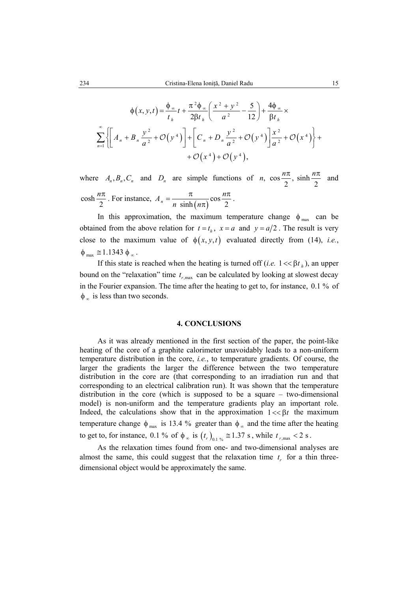$$
\phi(x, y, t) = \frac{\phi_{\infty}}{t_h} t + \frac{\pi^2 \phi_{\infty}}{2\beta t_h} \left( \frac{x^2 + y^2}{a^2} - \frac{5}{12} \right) + \frac{4\phi_{\infty}}{\beta t_h} \times
$$
  

$$
\sum_{n=1}^{\infty} \left\{ \left[ A_n + B_n \frac{y^2}{a^2} + \mathcal{O}(y^4) \right] + \left[ C_n + D_n \frac{y^2}{a^2} + \mathcal{O}(y^4) \right] \frac{x^2}{a^2} + \mathcal{O}(x^4) \right\} +
$$

$$
+ \mathcal{O}(x^4) + \mathcal{O}(y^4),
$$

where  $A_n, B_n, C_n$  and  $D_n$  are simple functions of *n*,  $\cos \frac{n\pi}{2}$ ,  $\sinh \frac{n\pi}{2}$  and cosh  $\frac{n\pi}{2}$ . For instance,  $A_n = \frac{\pi}{n \sinh(n\pi)} \cos \frac{n\pi}{2}$  $A_n = \frac{\pi}{\sqrt{1-\frac{1}{n}} \cos \frac{n}{n}}$  $=\frac{\pi}{n \sinh(n\pi)} \cos \frac{n\pi}{2}.$ 

In this approximation, the maximum temperature change  $\phi_{\text{max}}$  can be obtained from the above relation for  $t = t_h$ ,  $x = a$  and  $y = a/2$ . The result is very close to the maximum value of  $\phi(x, y, t)$  evaluated directly from (14), *i.e.*,  $\phi_{\text{max}} \cong 1.1343 \phi_{\infty}$ .

If this state is reached when the heating is turned off (*i.e.*  $1 \ll \beta t_h$ ), an upper bound on the "relaxation" time  $t_{r,\text{max}}$  can be calculated by looking at slowest decay in the Fourier expansion. The time after the heating to get to, for instance, 0.1 % of  $\phi_{\infty}$  is less than two seconds.

#### **4. CONCLUSIONS**

 As it was already mentioned in the first section of the paper, the point-like heating of the core of a graphite calorimeter unavoidably leads to a non-uniform temperature distribution in the core, *i.e.*, to temperature gradients. Of course, the larger the gradients the larger the difference between the two temperature distribution in the core are (that corresponding to an irradiation run and that corresponding to an electrical calibration run). It was shown that the temperature distribution in the core (which is supposed to be a square – two-dimensional model) is non-uniform and the temperature gradients play an important role. Indeed, the calculations show that in the approximation  $1 \ll \beta t$  the maximum temperature change  $\phi_{\text{max}}$  is 13.4 % greater than  $\phi_{\infty}$  and the time after the heating to get to, for instance, 0.1 % of  $\phi_{\infty}$  is  $(t_r)_{0.1\%} \approx 1.37$  s, while  $t_{r,\text{max}} < 2$  s.

 As the relaxation times found from one- and two-dimensional analyses are almost the same, this could suggest that the relaxation time  $t<sub>r</sub>$  for a thin threedimensional object would be approximately the same.